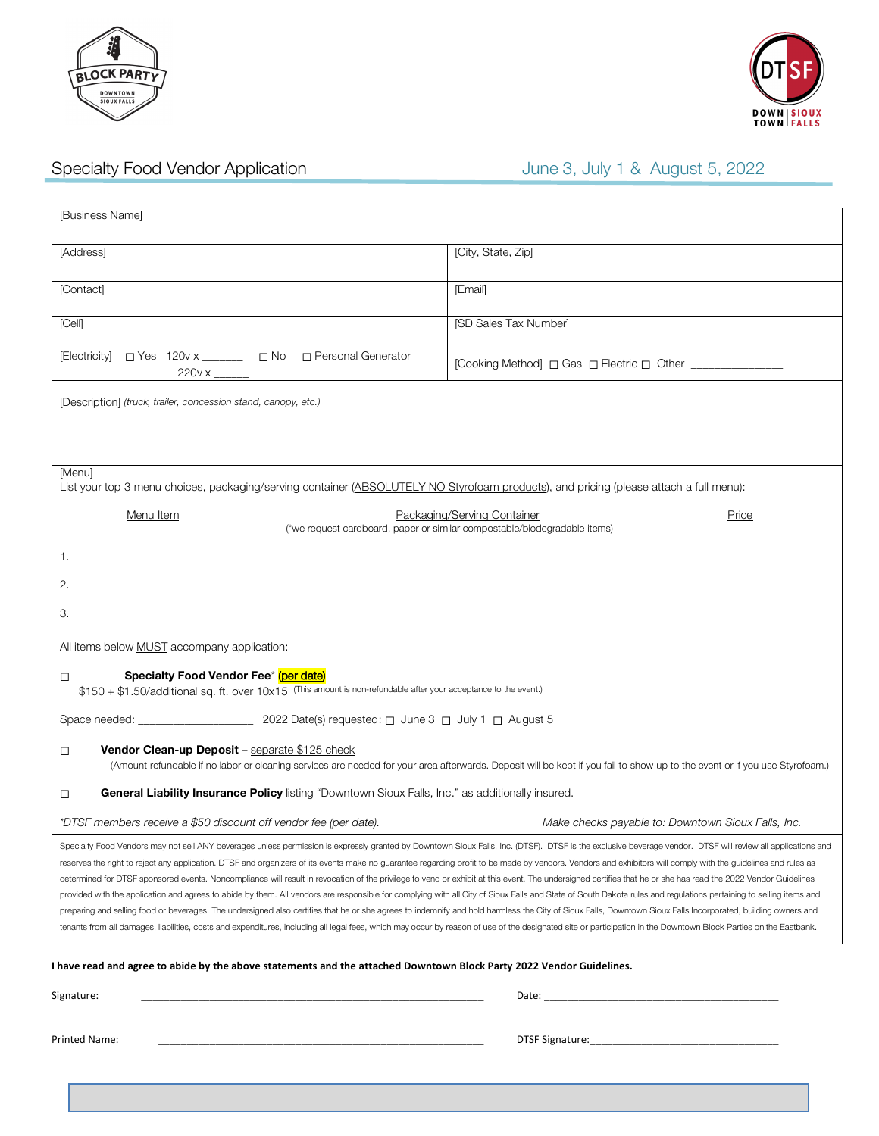



# Specialty Food Vendor Application Specialty Food Vendor Application June 3, July 1 & August 5, 2022

| [Business Name]                                                                                                                                                                                                                                                                                                                                                                                                                                                                                                                                                                                                                                                                                                                                                                                                                                                                                                                                                                                                                                                                                                                                                                                                                                                                                        |                                                          |  |
|--------------------------------------------------------------------------------------------------------------------------------------------------------------------------------------------------------------------------------------------------------------------------------------------------------------------------------------------------------------------------------------------------------------------------------------------------------------------------------------------------------------------------------------------------------------------------------------------------------------------------------------------------------------------------------------------------------------------------------------------------------------------------------------------------------------------------------------------------------------------------------------------------------------------------------------------------------------------------------------------------------------------------------------------------------------------------------------------------------------------------------------------------------------------------------------------------------------------------------------------------------------------------------------------------------|----------------------------------------------------------|--|
| [Address]                                                                                                                                                                                                                                                                                                                                                                                                                                                                                                                                                                                                                                                                                                                                                                                                                                                                                                                                                                                                                                                                                                                                                                                                                                                                                              | [City, State, Zip]                                       |  |
| [Contact]                                                                                                                                                                                                                                                                                                                                                                                                                                                                                                                                                                                                                                                                                                                                                                                                                                                                                                                                                                                                                                                                                                                                                                                                                                                                                              | [Email]                                                  |  |
| [Cell]                                                                                                                                                                                                                                                                                                                                                                                                                                                                                                                                                                                                                                                                                                                                                                                                                                                                                                                                                                                                                                                                                                                                                                                                                                                                                                 | [SD Sales Tax Number]                                    |  |
| [Electricity] □ Yes 120v x ______ □ No □ Personal Generator                                                                                                                                                                                                                                                                                                                                                                                                                                                                                                                                                                                                                                                                                                                                                                                                                                                                                                                                                                                                                                                                                                                                                                                                                                            | [Cooking Method] □ Gas □ Electric □ Other ______________ |  |
| [Description] (truck, trailer, concession stand, canopy, etc.)                                                                                                                                                                                                                                                                                                                                                                                                                                                                                                                                                                                                                                                                                                                                                                                                                                                                                                                                                                                                                                                                                                                                                                                                                                         |                                                          |  |
|                                                                                                                                                                                                                                                                                                                                                                                                                                                                                                                                                                                                                                                                                                                                                                                                                                                                                                                                                                                                                                                                                                                                                                                                                                                                                                        |                                                          |  |
| [Menu]<br>List your top 3 menu choices, packaging/serving container (ABSOLUTELY NO Styrofoam products), and pricing (please attach a full menu):                                                                                                                                                                                                                                                                                                                                                                                                                                                                                                                                                                                                                                                                                                                                                                                                                                                                                                                                                                                                                                                                                                                                                       |                                                          |  |
| Packaging/Serving Container<br>Menu Item<br>Price<br>(*we request cardboard, paper or similar compostable/biodegradable items)                                                                                                                                                                                                                                                                                                                                                                                                                                                                                                                                                                                                                                                                                                                                                                                                                                                                                                                                                                                                                                                                                                                                                                         |                                                          |  |
| 1.                                                                                                                                                                                                                                                                                                                                                                                                                                                                                                                                                                                                                                                                                                                                                                                                                                                                                                                                                                                                                                                                                                                                                                                                                                                                                                     |                                                          |  |
| 2.                                                                                                                                                                                                                                                                                                                                                                                                                                                                                                                                                                                                                                                                                                                                                                                                                                                                                                                                                                                                                                                                                                                                                                                                                                                                                                     |                                                          |  |
| 3.                                                                                                                                                                                                                                                                                                                                                                                                                                                                                                                                                                                                                                                                                                                                                                                                                                                                                                                                                                                                                                                                                                                                                                                                                                                                                                     |                                                          |  |
| All items below <b>MUST</b> accompany application:                                                                                                                                                                                                                                                                                                                                                                                                                                                                                                                                                                                                                                                                                                                                                                                                                                                                                                                                                                                                                                                                                                                                                                                                                                                     |                                                          |  |
| Specialty Food Vendor Fee <sup>*</sup> (per date)<br>□<br>\$150 + \$1.50/additional sq. ft. over 10x15 (This amount is non-refundable after your acceptance to the event.)                                                                                                                                                                                                                                                                                                                                                                                                                                                                                                                                                                                                                                                                                                                                                                                                                                                                                                                                                                                                                                                                                                                             |                                                          |  |
|                                                                                                                                                                                                                                                                                                                                                                                                                                                                                                                                                                                                                                                                                                                                                                                                                                                                                                                                                                                                                                                                                                                                                                                                                                                                                                        |                                                          |  |
| Vendor Clean-up Deposit - separate \$125 check<br>□<br>(Amount refundable if no labor or cleaning services are needed for your area afterwards. Deposit will be kept if you fail to show up to the event or if you use Styrofoam.)                                                                                                                                                                                                                                                                                                                                                                                                                                                                                                                                                                                                                                                                                                                                                                                                                                                                                                                                                                                                                                                                     |                                                          |  |
| General Liability Insurance Policy listing "Downtown Sioux Falls, Inc." as additionally insured.<br>□                                                                                                                                                                                                                                                                                                                                                                                                                                                                                                                                                                                                                                                                                                                                                                                                                                                                                                                                                                                                                                                                                                                                                                                                  |                                                          |  |
| *DTSF members receive a \$50 discount off vendor fee (per date).                                                                                                                                                                                                                                                                                                                                                                                                                                                                                                                                                                                                                                                                                                                                                                                                                                                                                                                                                                                                                                                                                                                                                                                                                                       | Make checks payable to: Downtown Sioux Falls, Inc.       |  |
| Specialty Food Vendors may not sell ANY beverages unless permission is expressly granted by Downtown Sioux Falls, Inc. (DTSF). DTSF is the exclusive beverage vendor. DTSF will review all applications and<br>reserves the right to reject any application. DTSF and organizers of its events make no guarantee regarding profit to be made by vendors. Vendors and exhibitors will comply with the guidelines and rules as<br>determined for DTSF sponsored events. Noncompliance will result in revocation of the privilege to vend or exhibit at this event. The undersigned certifies that he or she has read the 2022 Vendor Guidelines<br>provided with the application and agrees to abide by them. All vendors are responsible for complying with all City of Sioux Falls and State of South Dakota rules and regulations pertaining to selling items and<br>preparing and selling food or beverages. The undersigned also certifies that he or she agrees to indemnify and hold harmless the City of Sioux Falls, Downtown Sioux Falls Incorporated, building owners and<br>tenants from all damages, liabilities, costs and expenditures, including all legal fees, which may occur by reason of use of the designated site or participation in the Downtown Block Parties on the Eastbank. |                                                          |  |
| I have read and agree to abide by the above statements and the attached Downtown Block Party 2022 Vendor Guidelines.                                                                                                                                                                                                                                                                                                                                                                                                                                                                                                                                                                                                                                                                                                                                                                                                                                                                                                                                                                                                                                                                                                                                                                                   |                                                          |  |
| Signature:<br><u> 1990 - Johann John Stoff, mars and de British and de British and de British and de British and de British and</u>                                                                                                                                                                                                                                                                                                                                                                                                                                                                                                                                                                                                                                                                                                                                                                                                                                                                                                                                                                                                                                                                                                                                                                    |                                                          |  |
| Printed Name:                                                                                                                                                                                                                                                                                                                                                                                                                                                                                                                                                                                                                                                                                                                                                                                                                                                                                                                                                                                                                                                                                                                                                                                                                                                                                          |                                                          |  |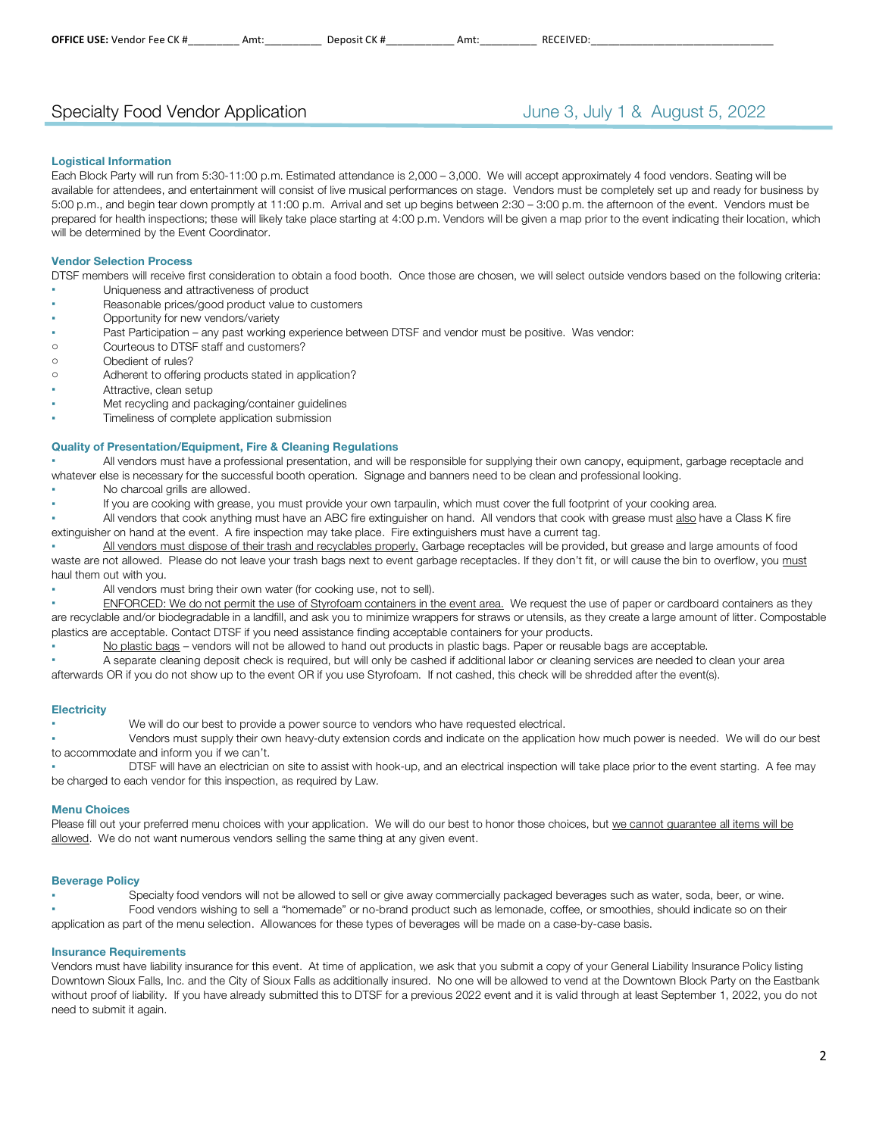## Specialty Food Vendor Application **Superinten Containers** June 3, July 1 & August 5, 2022

#### **Logistical Information**

Each Block Party will run from 5:30-11:00 p.m. Estimated attendance is 2,000 – 3,000. We will accept approximately 4 food vendors. Seating will be available for attendees, and entertainment will consist of live musical performances on stage. Vendors must be completely set up and ready for business by 5:00 p.m., and begin tear down promptly at 11:00 p.m. Arrival and set up begins between 2:30 – 3:00 p.m. the afternoon of the event. Vendors must be prepared for health inspections; these will likely take place starting at 4:00 p.m. Vendors will be given a map prior to the event indicating their location, which will be determined by the Event Coordinator.

#### **Vendor Selection Process**

DTSF members will receive first consideration to obtain a food booth. Once those are chosen, we will select outside vendors based on the following criteria: Uniqueness and attractiveness of product

- Reasonable prices/good product value to customers
- Opportunity for new vendors/variety
- Past Participation any past working experience between DTSF and vendor must be positive. Was vendor:
- o Courteous to DTSF staff and customers?
- o Obedient of rules?
- o Adherent to offering products stated in application?
- Attractive, clean setup
- Met recycling and packaging/container guidelines
- Timeliness of complete application submission

#### **Quality of Presentation/Equipment, Fire & Cleaning Regulations**

All vendors must have a professional presentation, and will be responsible for supplying their own canopy, equipment, garbage receptacle and whatever else is necessary for the successful booth operation. Signage and banners need to be clean and professional looking.

- No charcoal grills are allowed.
	- If you are cooking with grease, you must provide your own tarpaulin, which must cover the full footprint of your cooking area.

All vendors that cook anything must have an ABC fire extinguisher on hand. All vendors that cook with grease must also have a Class K fire extinguisher on hand at the event. A fire inspection may take place. Fire extinguishers must have a current tag.

All vendors must dispose of their trash and recyclables properly. Garbage receptacles will be provided, but grease and large amounts of food waste are not allowed. Please do not leave your trash bags next to event garbage receptacles. If they don't fit, or will cause the bin to overflow, you must haul them out with you.

All vendors must bring their own water (for cooking use, not to sell).

ENFORCED: We do not permit the use of Styrofoam containers in the event area. We request the use of paper or cardboard containers as they are recyclable and/or biodegradable in a landfill, and ask you to minimize wrappers for straws or utensils, as they create a large amount of litter. Compostable plastics are acceptable. Contact DTSF if you need assistance finding acceptable containers for your products.

No plastic bags – vendors will not be allowed to hand out products in plastic bags. Paper or reusable bags are acceptable.

A separate cleaning deposit check is required, but will only be cashed if additional labor or cleaning services are needed to clean your area afterwards OR if you do not show up to the event OR if you use Styrofoam. If not cashed, this check will be shredded after the event(s).

#### **Electricity**

We will do our best to provide a power source to vendors who have requested electrical.

Vendors must supply their own heavy-duty extension cords and indicate on the application how much power is needed. We will do our best to accommodate and inform you if we can't.

DTSF will have an electrician on site to assist with hook-up, and an electrical inspection will take place prior to the event starting. A fee may be charged to each vendor for this inspection, as required by Law.

#### **Menu Choices**

Please fill out your preferred menu choices with your application. We will do our best to honor those choices, but we cannot guarantee all items will be allowed. We do not want numerous vendors selling the same thing at any given event.

#### **Beverage Policy**

Specialty food vendors will not be allowed to sell or give away commercially packaged beverages such as water, soda, beer, or wine. Food vendors wishing to sell a "homemade" or no-brand product such as lemonade, coffee, or smoothies, should indicate so on their application as part of the menu selection. Allowances for these types of beverages will be made on a case-by-case basis.

#### **Insurance Requirements**

Vendors must have liability insurance for this event. At time of application, we ask that you submit a copy of your General Liability Insurance Policy listing Downtown Sioux Falls, Inc. and the City of Sioux Falls as additionally insured. No one will be allowed to vend at the Downtown Block Party on the Eastbank without proof of liability. If you have already submitted this to DTSF for a previous 2022 event and it is valid through at least September 1, 2022, you do not need to submit it again.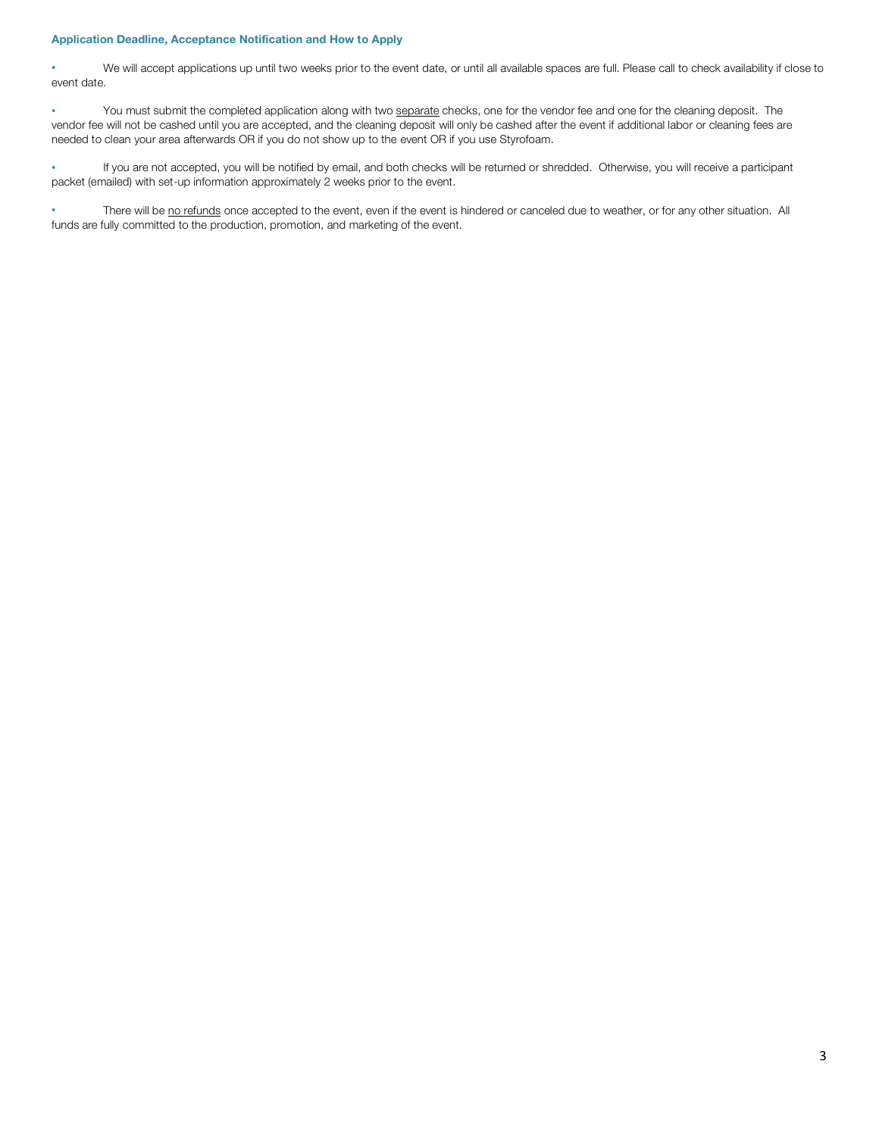#### **Application Deadline, Acceptance Notification and How to Apply**

▪ We will accept applications up until two weeks prior to the event date, or until all available spaces are full. Please call to check availability if close to event date.

You must submit the completed application along with two separate checks, one for the vendor fee and one for the cleaning deposit. The vendor fee will not be cashed until you are accepted, and the cleaning deposit will only be cashed after the event if additional labor or cleaning fees are needed to clean your area afterwards OR if you do not show up to the event OR if you use Styrofoam.

▪ If you are not accepted, you will be notified by email, and both checks will be returned or shredded. Otherwise, you will receive a participant packet (emailed) with set-up information approximately 2 weeks prior to the event.

There will be no refunds once accepted to the event, even if the event is hindered or canceled due to weather, or for any other situation. All funds are fully committed to the production, promotion, and marketing of the event.